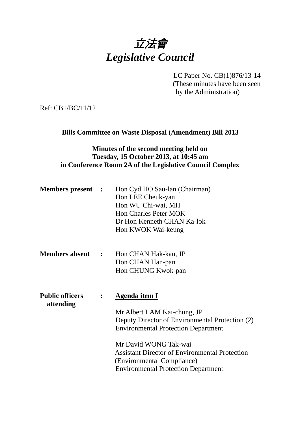

LC Paper No. CB(1)876/13-14

(These minutes have been seen by the Administration)

Ref: CB1/BC/11/12

**Bills Committee on Waste Disposal (Amendment) Bill 2013** 

#### **Minutes of the second meeting held on Tuesday, 15 October 2013, at 10:45 am in Conference Room 2A of the Legislative Council Complex**

| <b>Members present</b> :            |                   | Hon Cyd HO Sau-lan (Chairman)<br>Hon LEE Cheuk-yan<br>Hon WU Chi-wai, MH<br><b>Hon Charles Peter MOK</b><br>Dr Hon Kenneth CHAN Ka-lok<br>Hon KWOK Wai-keung |
|-------------------------------------|-------------------|--------------------------------------------------------------------------------------------------------------------------------------------------------------|
| <b>Members absent</b>               | $\sim$ 100 $\sim$ | Hon CHAN Hak-kan, JP<br>Hon CHAN Han-pan<br>Hon CHUNG Kwok-pan                                                                                               |
| <b>Public officers</b><br>attending | $\ddot{\cdot}$    | <b>Agenda item I</b><br>Mr Albert LAM Kai-chung, JP<br>Deputy Director of Environmental Protection (2)<br><b>Environmental Protection Department</b>         |
|                                     |                   | Mr David WONG Tak-wai<br><b>Assistant Director of Environmental Protection</b><br>(Environmental Compliance)<br><b>Environmental Protection Department</b>   |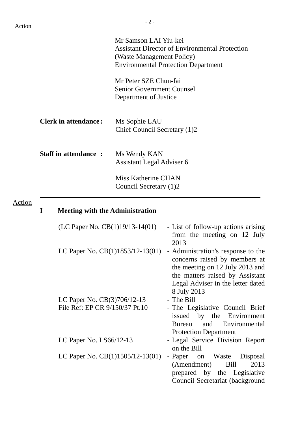|                             | Mr Samson LAI Yiu-kei<br><b>Assistant Director of Environmental Protection</b><br>(Waste Management Policy)<br><b>Environmental Protection Department</b> |
|-----------------------------|-----------------------------------------------------------------------------------------------------------------------------------------------------------|
|                             | Mr Peter SZE Chun-fai<br><b>Senior Government Counsel</b><br>Department of Justice                                                                        |
| <b>Clerk in attendance:</b> | Ms Sophie LAU<br>Chief Council Secretary (1)2                                                                                                             |
| <b>Staff in attendance:</b> | Ms Wendy KAN<br>Assistant Legal Adviser 6                                                                                                                 |
|                             | Miss Katherine CHAN<br>Council Secretary (1)2                                                                                                             |

## Action

# **I Meeting with the Administration**

| (LC Paper No. CB(1)19/13-14(01)    | - List of follow-up actions arising |
|------------------------------------|-------------------------------------|
|                                    | from the meeting on 12 July         |
|                                    | 2013                                |
| LC Paper No. $CB(1)1853/12-13(01)$ | - Administration's response to the  |
|                                    | concerns raised by members at       |
|                                    | the meeting on 12 July 2013 and     |
|                                    | the matters raised by Assistant     |
|                                    | Legal Adviser in the letter dated   |
|                                    | 8 July 2013                         |
| LC Paper No. CB(3)706/12-13        | - The Bill                          |
| File Ref: EP CR 9/150/37 Pt.10     | - The Legislative Council Brief     |
|                                    | issued by the Environment           |
|                                    | and Environmental<br>Bureau         |
|                                    | <b>Protection Department</b>        |
|                                    |                                     |
| LC Paper No. $LS66/12-13$          | - Legal Service Division Report     |
|                                    | on the Bill                         |
| LC Paper No. $CB(1)1505/12-13(01)$ | - Paper on Waste Disposal           |
|                                    | (Amendment) Bill<br>2013            |
|                                    | prepared by the Legislative         |
|                                    | Council Secretariat (background     |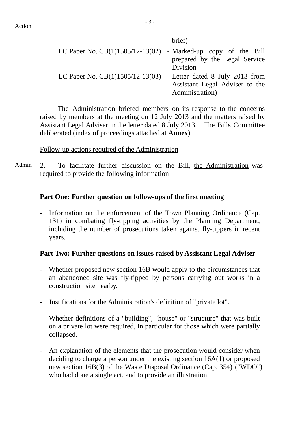brief)

LC Paper No.  $CB(1)1505/12-13(02)$  - Marked-up copy of the Bill prepared by the Legal Service Division LC Paper No. CB(1)1505/12-13(03) - Letter dated 8 July 2013 from Assistant Legal Adviser to the Administration)

The Administration briefed members on its response to the concerns raised by members at the meeting on 12 July 2013 and the matters raised by Assistant Legal Adviser in the letter dated 8 July 2013. The Bills Committee deliberated (index of proceedings attached at **Annex**).

Follow-up actions required of the Administration

Admin 2. To facilitate further discussion on the Bill, the Administration was required to provide the following information –

### **Part One: Further question on follow-ups of the first meeting**

- Information on the enforcement of the Town Planning Ordinance (Cap. 131) in combating fly-tipping activities by the Planning Department, including the number of prosecutions taken against fly-tippers in recent years.

#### **Part Two: Further questions on issues raised by Assistant Legal Adviser**

- Whether proposed new section 16B would apply to the circumstances that an abandoned site was fly-tipped by persons carrying out works in a construction site nearby.
- Justifications for the Administration's definition of "private lot".
- Whether definitions of a "building", "house" or "structure" that was built on a private lot were required, in particular for those which were partially collapsed.
- An explanation of the elements that the prosecution would consider when deciding to charge a person under the existing section 16A(1) or proposed new section 16B(3) of the Waste Disposal Ordinance (Cap. 354) ("WDO") who had done a single act, and to provide an illustration.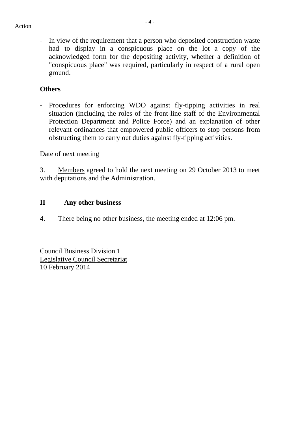- In view of the requirement that a person who deposited construction waste had to display in a conspicuous place on the lot a copy of the acknowledged form for the depositing activity, whether a definition of "conspicuous place" was required, particularly in respect of a rural open ground.

## **Others**

- Procedures for enforcing WDO against fly-tipping activities in real situation (including the roles of the front-line staff of the Environmental Protection Department and Police Force) and an explanation of other relevant ordinances that empowered public officers to stop persons from obstructing them to carry out duties against fly-tipping activities.

### Date of next meeting

3. Members agreed to hold the next meeting on 29 October 2013 to meet with deputations and the Administration.

#### **II Any other business**

4. There being no other business, the meeting ended at 12:06 pm.

Council Business Division 1 Legislative Council Secretariat 10 February 2014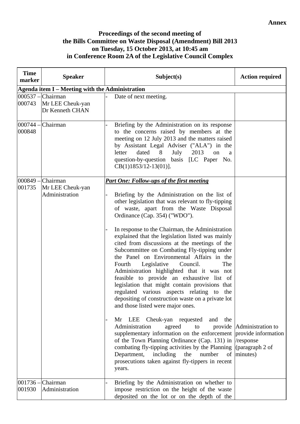#### **Annex**

#### **Proceedings of the second meeting of the Bills Committee on Waste Disposal (Amendment) Bill 2013 on Tuesday, 15 October 2013, at 10:45 am in Conference Room 2A of the Legislative Council Complex**

| <b>Time</b><br>marker | <b>Speaker</b>                                             | Subject(s)                                                                                                                                                                                                                                                                                                                                                                                                                                                                                                                                                                                                                                                                                                                                                          | <b>Action required</b>                                      |  |
|-----------------------|------------------------------------------------------------|---------------------------------------------------------------------------------------------------------------------------------------------------------------------------------------------------------------------------------------------------------------------------------------------------------------------------------------------------------------------------------------------------------------------------------------------------------------------------------------------------------------------------------------------------------------------------------------------------------------------------------------------------------------------------------------------------------------------------------------------------------------------|-------------------------------------------------------------|--|
|                       | Agenda item I - Meeting with the Administration            |                                                                                                                                                                                                                                                                                                                                                                                                                                                                                                                                                                                                                                                                                                                                                                     |                                                             |  |
| 000743                | $000537$ - Chairman<br>Mr LEE Cheuk-yan<br>Dr Kenneth CHAN | Date of next meeting.                                                                                                                                                                                                                                                                                                                                                                                                                                                                                                                                                                                                                                                                                                                                               |                                                             |  |
| 000744<br>000848      | Chairman                                                   | Briefing by the Administration on its response<br>to the concerns raised by members at the<br>meeting on 12 July 2013 and the matters raised<br>by Assistant Legal Adviser ("ALA") in the<br>8<br>2013<br>dated<br>July<br>letter<br>on<br>a<br>question-by-question basis [LC Paper No.<br>$CB(1)1853/12-13(01)$ .                                                                                                                                                                                                                                                                                                                                                                                                                                                 |                                                             |  |
| $000849 -$            | Chairman                                                   | <b>Part One: Follow-ups of the first meeting</b>                                                                                                                                                                                                                                                                                                                                                                                                                                                                                                                                                                                                                                                                                                                    |                                                             |  |
| 001735                | Mr LEE Cheuk-yan<br>Administration                         | Briefing by the Administration on the list of<br>other legislation that was relevant to fly-tipping<br>of waste, apart from the Waste Disposal<br>Ordinance (Cap. 354) ("WDO").<br>In response to the Chairman, the Administration<br>explained that the legislation listed was mainly<br>cited from discussions at the meetings of the<br>Subcommittee on Combating Fly-tipping under<br>the Panel on Environmental Affairs in the<br>Fourth<br>Legislative<br>Council.<br>The<br>Administration highlighted that it was not<br>feasible to provide an exhaustive list of<br>legislation that might contain provisions that<br>regulated various aspects relating to the<br>depositing of construction waste on a private lot<br>and those listed were major ones. |                                                             |  |
|                       |                                                            | Cheuk-yan requested<br>LEE<br>Mr<br>and<br>the<br>Administration<br>agreed<br>to<br>supplementary information on the enforcement provide information<br>of the Town Planning Ordinance (Cap. 131) in $\sqrt{\text{response}}$<br>combating fly-tipping activities by the Planning<br>Department,<br>including<br>the<br>number<br>prosecutions taken against fly-tippers in recent<br>years.                                                                                                                                                                                                                                                                                                                                                                        | provide Administration to<br>(paragraph 2 of<br>of minutes) |  |
| 001930                | $001736$ - Chairman<br>Administration                      | Briefing by the Administration on whether to<br>impose restriction on the height of the waste<br>deposited on the lot or on the depth of the                                                                                                                                                                                                                                                                                                                                                                                                                                                                                                                                                                                                                        |                                                             |  |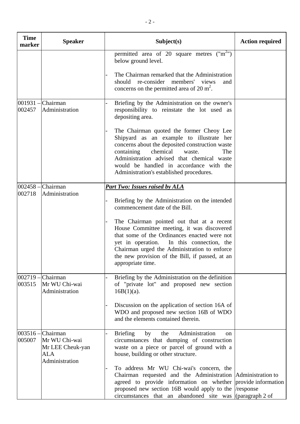| <b>Time</b><br>marker | <b>Speaker</b>                                                                           | Subject(s)                                                                                                                                                                                                                                                                                                              | <b>Action required</b> |
|-----------------------|------------------------------------------------------------------------------------------|-------------------------------------------------------------------------------------------------------------------------------------------------------------------------------------------------------------------------------------------------------------------------------------------------------------------------|------------------------|
|                       |                                                                                          | permitted area of 20 square metres $("m2)$<br>below ground level.<br>The Chairman remarked that the Administration<br>members' views<br>should re-consider<br>and<br>concerns on the permitted area of $20 \text{ m}^2$ .                                                                                               |                        |
| $001931 -$<br>002457  | Chairman<br>Administration                                                               | Briefing by the Administration on the owner's<br>responsibility to reinstate the lot used as<br>depositing area.                                                                                                                                                                                                        |                        |
|                       |                                                                                          | The Chairman quoted the former Cheoy Lee<br>Shipyard as an example to illustrate her<br>concerns about the deposited construction waste<br>containing<br>chemical<br>waste.<br>The<br>Administration advised that chemical waste<br>would be handled in accordance with the<br>Administration's established procedures. |                        |
|                       | $002458$ – Chairman                                                                      | <u>Part Two: Issues raised by ALA</u>                                                                                                                                                                                                                                                                                   |                        |
| 002718                | Administration                                                                           | Briefing by the Administration on the intended<br>commencement date of the Bill.<br>The Chairman pointed out that at a recent                                                                                                                                                                                           |                        |
|                       |                                                                                          | House Committee meeting, it was discovered<br>that some of the Ordinances enacted were not<br>In this connection, the<br>yet in operation.<br>Chairman urged the Administration to enforce<br>the new provision of the Bill, if passed, at an<br>appropriate time.                                                      |                        |
| 003515                | $002719$ – Chairman<br>Mr WU Chi-wai<br>Administration                                   | Briefing by the Administration on the definition<br>of "private lot" and proposed new section<br>$16B(1)(a)$ .                                                                                                                                                                                                          |                        |
|                       |                                                                                          | Discussion on the application of section 16A of<br>WDO and proposed new section 16B of WDO<br>and the elements contained therein.                                                                                                                                                                                       |                        |
| 005007                | $003516$ – Chairman<br>Mr WU Chi-wai<br>Mr LEE Cheuk-yan<br><b>ALA</b><br>Administration | Administration<br><b>Briefing</b><br>the<br>by<br>on<br>circumstances that dumping of construction<br>waste on a piece or parcel of ground with a<br>house, building or other structure.                                                                                                                                |                        |
|                       |                                                                                          | To address Mr WU Chi-wai's concern, the<br>Chairman requested and the Administration Administration to<br>agreed to provide information on whether provide information<br>proposed new section 16B would apply to the //response<br>circumstances that an abandoned site was (paragraph 2 of                            |                        |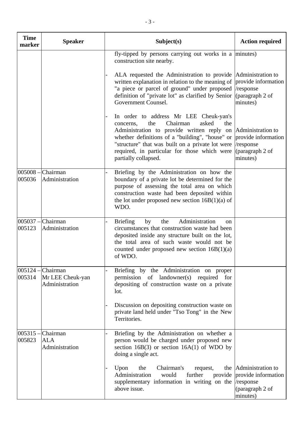| <b>Time</b><br>marker | <b>Speaker</b>                                    | Subject(s)                                                                                                                                                                                                                                                                                                                                                | <b>Action required</b>                                                      |
|-----------------------|---------------------------------------------------|-----------------------------------------------------------------------------------------------------------------------------------------------------------------------------------------------------------------------------------------------------------------------------------------------------------------------------------------------------------|-----------------------------------------------------------------------------|
|                       |                                                   | fly-tipped by persons carrying out works in a minutes)<br>construction site nearby.                                                                                                                                                                                                                                                                       |                                                                             |
|                       |                                                   | ALA requested the Administration to provide Administration to<br>written explanation in relation to the meaning of provide information<br>"a piece or parcel of ground" under proposed //response<br>definition of "private lot" as clarified by Senior<br>Government Counsel.                                                                            | (paragraph 2 of<br>minutes)                                                 |
|                       |                                                   | In order to address Mr LEE Cheuk-yan's<br>Chairman<br>the<br>asked<br>the<br>concerns,<br>Administration to provide written reply on Administration to<br>whether definitions of a "building", "house" or provide information<br>"structure" that was built on a private lot were<br>required, in particular for those which were<br>partially collapsed. | /response<br>(paragraph 2 of<br>minutes)                                    |
| 005008 -<br>005036    | Chairman<br>Administration                        | Briefing by the Administration on how the<br>boundary of a private lot be determined for the<br>purpose of assessing the total area on which<br>construction waste had been deposited within<br>the lot under proposed new section $16B(1)(a)$ of<br>WDO.                                                                                                 |                                                                             |
| 005123                | 005037 - Chairman<br>Administration               | Administration<br><b>Briefing</b><br>by<br>the<br><sub>on</sub><br>circumstances that construction waste had been<br>deposited inside any structure built on the lot,<br>the total area of such waste would not be<br>counted under proposed new section $16B(1)(a)$<br>of WDO.                                                                           |                                                                             |
| 005124<br>005314      | -Chairman<br>Mr LEE Cheuk-yan<br>Administration   | Briefing by the Administration on proper<br>permission of landowner(s) required<br>for<br>depositing of construction waste on a private<br>lot.                                                                                                                                                                                                           |                                                                             |
|                       |                                                   | Discussion on depositing construction waste on<br>private land held under "Tso Tong" in the New<br>Territories.                                                                                                                                                                                                                                           |                                                                             |
| 005823                | 005315 - Chairman<br><b>ALA</b><br>Administration | Briefing by the Administration on whether a<br>person would be charged under proposed new<br>section $16B(3)$ or section $16A(1)$ of WDO by<br>doing a single act.                                                                                                                                                                                        |                                                                             |
|                       |                                                   | Chairman's<br>the<br>Upon<br>request,<br>Administration<br>would<br>further<br>provide<br>supplementary information in writing on the //response<br>above issue.                                                                                                                                                                                          | the Administration to<br>provide information<br>(paragraph 2 of<br>minutes) |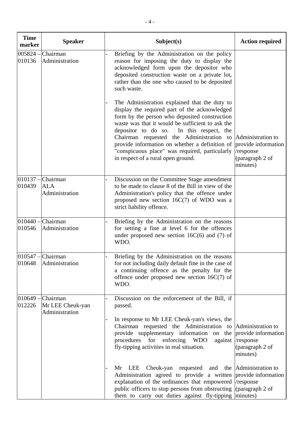| <b>Time</b><br>marker | <b>Speaker</b>                                      | Subject(s)                                                                                                                                                                                                                                                                                                                                                                                                                                                                  | <b>Action required</b>                            |
|-----------------------|-----------------------------------------------------|-----------------------------------------------------------------------------------------------------------------------------------------------------------------------------------------------------------------------------------------------------------------------------------------------------------------------------------------------------------------------------------------------------------------------------------------------------------------------------|---------------------------------------------------|
| 005824 -<br>010136    | Chairman<br>Administration                          | Briefing by the Administration on the policy<br>reason for imposing the duty to display the<br>acknowledged form upon the depositor who<br>deposited construction waste on a private lot,<br>rather than the one who caused to be deposited<br>such waste.                                                                                                                                                                                                                  |                                                   |
|                       |                                                     | The Administration explained that the duty to<br>display the required part of the acknowledged<br>form by the person who deposited construction<br>waste was that it would be sufficient to ask the<br>depositor to do so. In this respect, the<br>Chairman requested the Administration to Administration to<br>provide information on whether a definition of provide information<br>"conspicuous place" was required, particularly<br>in respect of a rural open ground. | /response<br>(paragraph 2 of<br>minutes)          |
| 010439                | $010137$ - Chairman<br><b>ALA</b><br>Administration | Discussion on the Committee Stage amendment<br>to be made to clause 8 of the Bill in view of the<br>Administration's policy that the offence under<br>proposed new section 16C(7) of WDO was a<br>strict liability offence.                                                                                                                                                                                                                                                 |                                                   |
| 010546                | $010440$ – Chairman<br>Administration               | Briefing by the Administration on the reasons<br>for setting a fine at level 6 for the offences<br>under proposed new section $16C(6)$ and (7) of<br>WDO.                                                                                                                                                                                                                                                                                                                   |                                                   |
| 010648                | $010547$ - Chairman<br>Administration               | Briefing by the Administration on the reasons<br>for not including daily default fine in the case of<br>a continuing offence as the penalty for the<br>offence under proposed new section 16C(7) of<br>WDO.                                                                                                                                                                                                                                                                 |                                                   |
| $010649 -$<br>012226  | Chairman<br>Mr LEE Cheuk-yan<br>Administration      | Discussion on the enforcement of the Bill, if<br>passed.<br>In response to Mr LEE Cheuk-yan's views, the<br>Chairman requested the Administration to Administration to<br>provide supplementary information on the provide information<br>procedures for enforcing WDO<br>fly-tipping activities in real situation.                                                                                                                                                         | against //response<br>(paragraph 2 of<br>minutes) |
|                       |                                                     | Mr LEE Cheuk-yan requested and the Administration to<br>Administration agreed to provide a written provide information<br>explanation of the ordinances that empowered //response<br>public officers to stop persons from obstructing (paragraph 2 of<br>them to carry out duties against fly-tipping minutes)                                                                                                                                                              |                                                   |